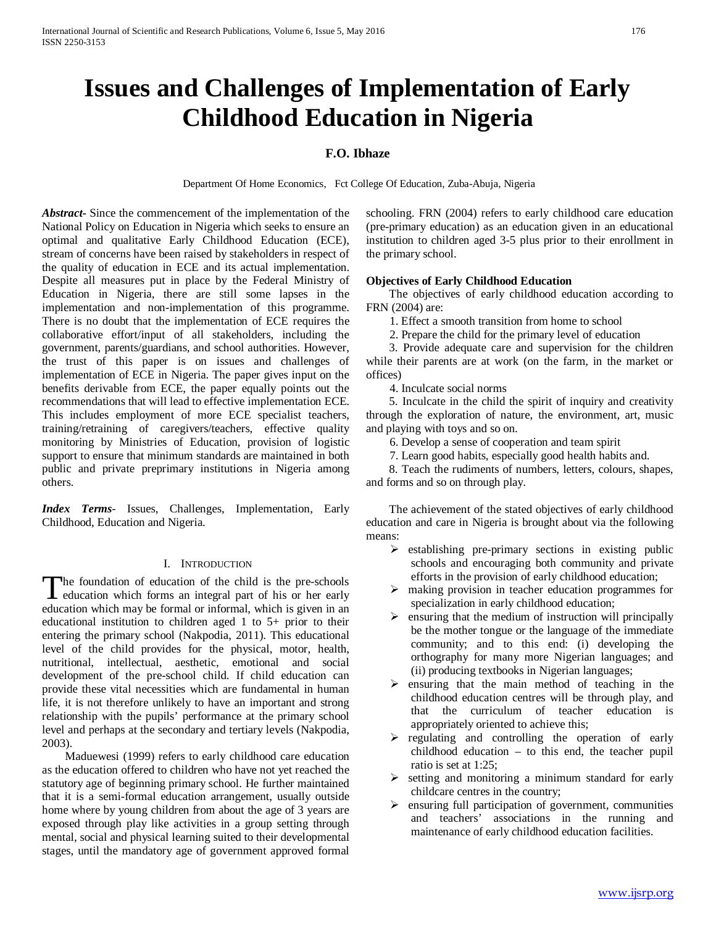# **Issues and Challenges of Implementation of Early Childhood Education in Nigeria**

# **F.O. Ibhaze**

Department Of Home Economics, Fct College Of Education, Zuba-Abuja, Nigeria

*Abstract***-** Since the commencement of the implementation of the National Policy on Education in Nigeria which seeks to ensure an optimal and qualitative Early Childhood Education (ECE), stream of concerns have been raised by stakeholders in respect of the quality of education in ECE and its actual implementation. Despite all measures put in place by the Federal Ministry of Education in Nigeria, there are still some lapses in the implementation and non-implementation of this programme. There is no doubt that the implementation of ECE requires the collaborative effort/input of all stakeholders, including the government, parents/guardians, and school authorities. However, the trust of this paper is on issues and challenges of implementation of ECE in Nigeria. The paper gives input on the benefits derivable from ECE, the paper equally points out the recommendations that will lead to effective implementation ECE. This includes employment of more ECE specialist teachers, training/retraining of caregivers/teachers, effective quality monitoring by Ministries of Education, provision of logistic support to ensure that minimum standards are maintained in both public and private preprimary institutions in Nigeria among others.

*Index Terms*- Issues, Challenges, Implementation, Early Childhood, Education and Nigeria.

#### I. INTRODUCTION

he foundation of education of the child is the pre-schools The foundation of education of the child is the pre-schools education which forms an integral part of his or her early education which may be formal or informal, which is given in an educational institution to children aged 1 to 5+ prior to their entering the primary school (Nakpodia, 2011). This educational level of the child provides for the physical, motor, health, nutritional, intellectual, aesthetic, emotional and social development of the pre-school child. If child education can provide these vital necessities which are fundamental in human life, it is not therefore unlikely to have an important and strong relationship with the pupils' performance at the primary school level and perhaps at the secondary and tertiary levels (Nakpodia, 2003).

 Maduewesi (1999) refers to early childhood care education as the education offered to children who have not yet reached the statutory age of beginning primary school. He further maintained that it is a semi-formal education arrangement, usually outside home where by young children from about the age of 3 years are exposed through play like activities in a group setting through mental, social and physical learning suited to their developmental stages, until the mandatory age of government approved formal schooling. FRN (2004) refers to early childhood care education (pre-primary education) as an education given in an educational institution to children aged 3-5 plus prior to their enrollment in the primary school.

#### **Objectives of Early Childhood Education**

 The objectives of early childhood education according to FRN (2004) are:

1. Effect a smooth transition from home to school

2. Prepare the child for the primary level of education

 3. Provide adequate care and supervision for the children while their parents are at work (on the farm, in the market or offices)

4. Inculcate social norms

 5. Inculcate in the child the spirit of inquiry and creativity through the exploration of nature, the environment, art, music and playing with toys and so on.

6. Develop a sense of cooperation and team spirit

7. Learn good habits, especially good health habits and.

 8. Teach the rudiments of numbers, letters, colours, shapes, and forms and so on through play.

 The achievement of the stated objectives of early childhood education and care in Nigeria is brought about via the following means:

- $\triangleright$  establishing pre-primary sections in existing public schools and encouraging both community and private efforts in the provision of early childhood education;
- $\triangleright$  making provision in teacher education programmes for specialization in early childhood education;
- $\triangleright$  ensuring that the medium of instruction will principally be the mother tongue or the language of the immediate community; and to this end: (i) developing the orthography for many more Nigerian languages; and (ii) producing textbooks in Nigerian languages;
- $\triangleright$  ensuring that the main method of teaching in the childhood education centres will be through play, and that the curriculum of teacher education is appropriately oriented to achieve this;
- $\triangleright$  regulating and controlling the operation of early childhood education – to this end, the teacher pupil ratio is set at 1:25;
- $\triangleright$  setting and monitoring a minimum standard for early childcare centres in the country;
- $\triangleright$  ensuring full participation of government, communities and teachers' associations in the running and maintenance of early childhood education facilities.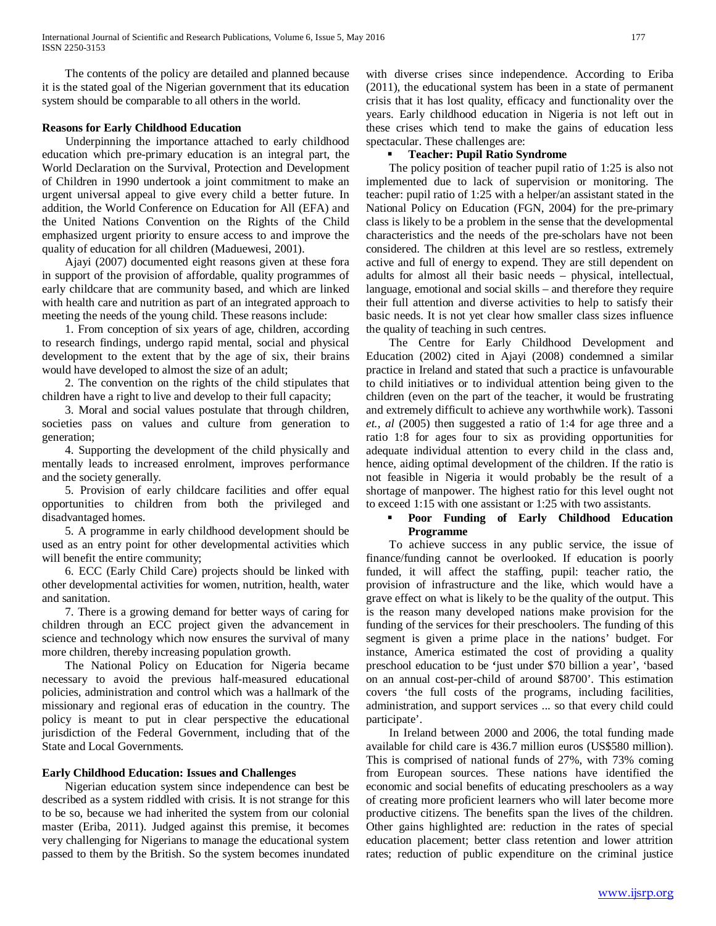The contents of the policy are detailed and planned because it is the stated goal of the Nigerian government that its education system should be comparable to all others in the world.

#### **Reasons for Early Childhood Education**

 Underpinning the importance attached to early childhood education which pre-primary education is an integral part, the World Declaration on the Survival, Protection and Development of Children in 1990 undertook a joint commitment to make an urgent universal appeal to give every child a better future. In addition, the World Conference on Education for All (EFA) and the United Nations Convention on the Rights of the Child emphasized urgent priority to ensure access to and improve the quality of education for all children (Maduewesi, 2001).

 Ajayi (2007) documented eight reasons given at these fora in support of the provision of affordable, quality programmes of early childcare that are community based, and which are linked with health care and nutrition as part of an integrated approach to meeting the needs of the young child. These reasons include:

 1. From conception of six years of age, children, according to research findings, undergo rapid mental, social and physical development to the extent that by the age of six, their brains would have developed to almost the size of an adult;

 2. The convention on the rights of the child stipulates that children have a right to live and develop to their full capacity;

 3. Moral and social values postulate that through children, societies pass on values and culture from generation to generation;

 4. Supporting the development of the child physically and mentally leads to increased enrolment, improves performance and the society generally.

 5. Provision of early childcare facilities and offer equal opportunities to children from both the privileged and disadvantaged homes.

 5. A programme in early childhood development should be used as an entry point for other developmental activities which will benefit the entire community;

 6. ECC (Early Child Care) projects should be linked with other developmental activities for women, nutrition, health, water and sanitation.

 7. There is a growing demand for better ways of caring for children through an ECC project given the advancement in science and technology which now ensures the survival of many more children, thereby increasing population growth.

 The National Policy on Education for Nigeria became necessary to avoid the previous half-measured educational policies, administration and control which was a hallmark of the missionary and regional eras of education in the country. The policy is meant to put in clear perspective the educational jurisdiction of the Federal Government, including that of the State and Local Governments.

#### **Early Childhood Education: Issues and Challenges**

 Nigerian education system since independence can best be described as a system riddled with crisis. It is not strange for this to be so, because we had inherited the system from our colonial master (Eriba, 2011). Judged against this premise, it becomes very challenging for Nigerians to manage the educational system passed to them by the British. So the system becomes inundated with diverse crises since independence. According to Eriba (2011), the educational system has been in a state of permanent crisis that it has lost quality, efficacy and functionality over the years. Early childhood education in Nigeria is not left out in these crises which tend to make the gains of education less spectacular. These challenges are:

#### **Teacher: Pupil Ratio Syndrome**

 The policy position of teacher pupil ratio of 1:25 is also not implemented due to lack of supervision or monitoring. The teacher: pupil ratio of 1:25 with a helper/an assistant stated in the National Policy on Education (FGN, 2004) for the pre-primary class is likely to be a problem in the sense that the developmental characteristics and the needs of the pre-scholars have not been considered. The children at this level are so restless, extremely active and full of energy to expend. They are still dependent on adults for almost all their basic needs – physical, intellectual, language, emotional and social skills – and therefore they require their full attention and diverse activities to help to satisfy their basic needs. It is not yet clear how smaller class sizes influence the quality of teaching in such centres.

 The Centre for Early Childhood Development and Education (2002) cited in Ajayi (2008) condemned a similar practice in Ireland and stated that such a practice is unfavourable to child initiatives or to individual attention being given to the children (even on the part of the teacher, it would be frustrating and extremely difficult to achieve any worthwhile work). Tassoni *et., al* (2005) then suggested a ratio of 1:4 for age three and a ratio 1:8 for ages four to six as providing opportunities for adequate individual attention to every child in the class and, hence, aiding optimal development of the children. If the ratio is not feasible in Nigeria it would probably be the result of a shortage of manpower. The highest ratio for this level ought not to exceed 1:15 with one assistant or 1:25 with two assistants.

#### **Poor Funding of Early Childhood Education Programme**

 To achieve success in any public service, the issue of finance/funding cannot be overlooked. If education is poorly funded, it will affect the staffing, pupil: teacher ratio, the provision of infrastructure and the like, which would have a grave effect on what is likely to be the quality of the output. This is the reason many developed nations make provision for the funding of the services for their preschoolers. The funding of this segment is given a prime place in the nations' budget. For instance, America estimated the cost of providing a quality preschool education to be **'**just under \$70 billion a year', 'based on an annual cost-per-child of around \$8700'. This estimation covers 'the full costs of the programs, including facilities, administration, and support services ... so that every child could participate'.

 In Ireland between 2000 and 2006, the total funding made available for child care is 436.7 million euros (US\$580 million). This is comprised of national funds of 27%, with 73% coming from European sources. These nations have identified the economic and social benefits of educating preschoolers as a way of creating more proficient learners who will later become more productive citizens. The benefits span the lives of the children. Other gains highlighted are: reduction in the rates of special education placement; better class retention and lower attrition rates; reduction of public expenditure on the criminal justice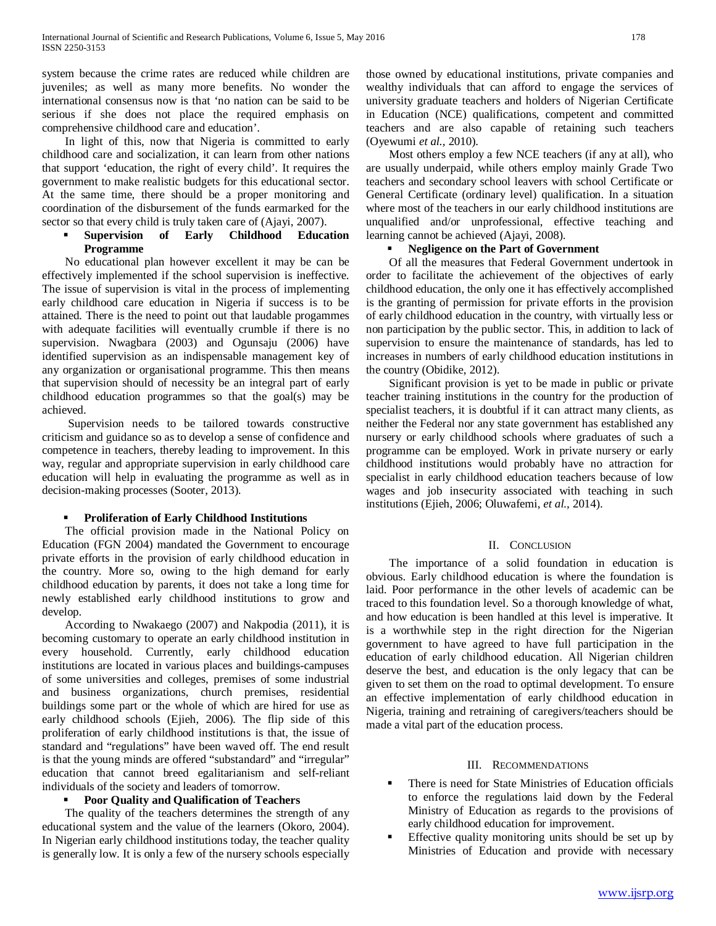system because the crime rates are reduced while children are juveniles; as well as many more benefits. No wonder the international consensus now is that 'no nation can be said to be serious if she does not place the required emphasis on comprehensive childhood care and education'.

 In light of this, now that Nigeria is committed to early childhood care and socialization, it can learn from other nations that support 'education, the right of every child'. It requires the government to make realistic budgets for this educational sector. At the same time, there should be a proper monitoring and coordination of the disbursement of the funds earmarked for the sector so that every child is truly taken care of (Ajayi, 2007).

### **Supervision of Early Childhood Education Programme**

 No educational plan however excellent it may be can be effectively implemented if the school supervision is ineffective. The issue of supervision is vital in the process of implementing early childhood care education in Nigeria if success is to be attained. There is the need to point out that laudable progammes with adequate facilities will eventually crumble if there is no supervision. Nwagbara (2003) and Ogunsaju (2006) have identified supervision as an indispensable management key of any organization or organisational programme. This then means that supervision should of necessity be an integral part of early childhood education programmes so that the goal(s) may be achieved.

 Supervision needs to be tailored towards constructive criticism and guidance so as to develop a sense of confidence and competence in teachers, thereby leading to improvement. In this way, regular and appropriate supervision in early childhood care education will help in evaluating the programme as well as in decision-making processes (Sooter, 2013).

# **Proliferation of Early Childhood Institutions**

 The official provision made in the National Policy on Education (FGN 2004) mandated the Government to encourage private efforts in the provision of early childhood education in the country. More so, owing to the high demand for early childhood education by parents, it does not take a long time for newly established early childhood institutions to grow and develop.

 According to Nwakaego (2007) and Nakpodia (2011), it is becoming customary to operate an early childhood institution in every household. Currently, early childhood education institutions are located in various places and buildings-campuses of some universities and colleges, premises of some industrial and business organizations, church premises, residential buildings some part or the whole of which are hired for use as early childhood schools (Ejieh, 2006). The flip side of this proliferation of early childhood institutions is that, the issue of standard and "regulations" have been waved off. The end result is that the young minds are offered "substandard" and "irregular" education that cannot breed egalitarianism and self-reliant individuals of the society and leaders of tomorrow.

# **Poor Quality and Qualification of Teachers**

 The quality of the teachers determines the strength of any educational system and the value of the learners (Okoro, 2004). In Nigerian early childhood institutions today, the teacher quality is generally low. It is only a few of the nursery schools especially those owned by educational institutions, private companies and wealthy individuals that can afford to engage the services of university graduate teachers and holders of Nigerian Certificate in Education (NCE) qualifications, competent and committed teachers and are also capable of retaining such teachers (Oyewumi *et al.,* 2010).

 Most others employ a few NCE teachers (if any at all), who are usually underpaid, while others employ mainly Grade Two teachers and secondary school leavers with school Certificate or General Certificate (ordinary level) qualification. In a situation where most of the teachers in our early childhood institutions are unqualified and/or unprofessional, effective teaching and learning cannot be achieved (Ajayi, 2008).

#### **Negligence on the Part of Government**

 Of all the measures that Federal Government undertook in order to facilitate the achievement of the objectives of early childhood education, the only one it has effectively accomplished is the granting of permission for private efforts in the provision of early childhood education in the country, with virtually less or non participation by the public sector. This, in addition to lack of supervision to ensure the maintenance of standards, has led to increases in numbers of early childhood education institutions in the country (Obidike, 2012).

 Significant provision is yet to be made in public or private teacher training institutions in the country for the production of specialist teachers, it is doubtful if it can attract many clients, as neither the Federal nor any state government has established any nursery or early childhood schools where graduates of such a programme can be employed. Work in private nursery or early childhood institutions would probably have no attraction for specialist in early childhood education teachers because of low wages and job insecurity associated with teaching in such institutions (Ejieh, 2006; Oluwafemi, *et al.,* 2014).

# II. CONCLUSION

 The importance of a solid foundation in education is obvious. Early childhood education is where the foundation is laid. Poor performance in the other levels of academic can be traced to this foundation level. So a thorough knowledge of what, and how education is been handled at this level is imperative. It is a worthwhile step in the right direction for the Nigerian government to have agreed to have full participation in the education of early childhood education. All Nigerian children deserve the best, and education is the only legacy that can be given to set them on the road to optimal development. To ensure an effective implementation of early childhood education in Nigeria, training and retraining of caregivers/teachers should be made a vital part of the education process.

# III. RECOMMENDATIONS

- There is need for State Ministries of Education officials to enforce the regulations laid down by the Federal Ministry of Education as regards to the provisions of early childhood education for improvement.
- Effective quality monitoring units should be set up by Ministries of Education and provide with necessary